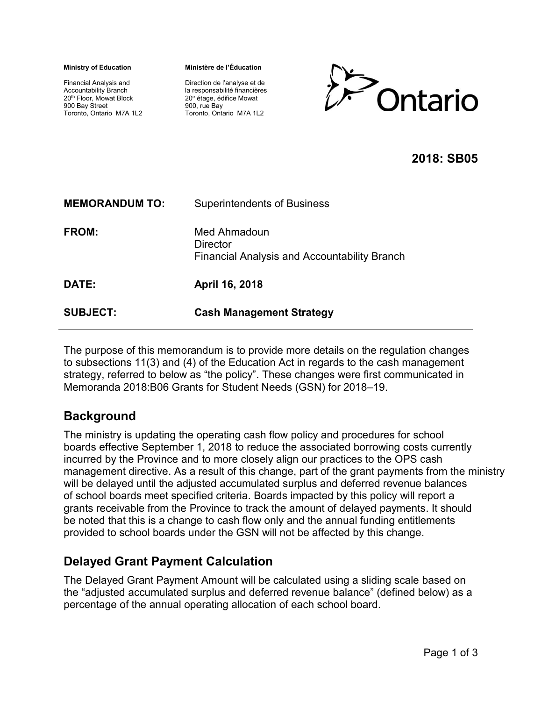**Ministry of Education** 

Financial Analysis and Accountability Branch 20th Floor, Mowat Block 900 Bay Street Toronto, Ontario M7A 1L2 **Ministère de l'Éducation**

Direction de l'analyse et de la responsabilité financières 20<sup>e</sup> étage, édifice Mowat 900, rue Bay Toronto, Ontario M7A 1L2



## **2018: SB05**

| <b>MEMORANDUM TO:</b> | <b>Superintendents of Business</b>                                              |
|-----------------------|---------------------------------------------------------------------------------|
| FROM:                 | Med Ahmadoun<br>Director<br><b>Financial Analysis and Accountability Branch</b> |
| DATE:                 | April 16, 2018                                                                  |
| <b>SUBJECT:</b>       | <b>Cash Management Strategy</b>                                                 |

The purpose of this memorandum is to provide more details on the regulation changes to subsections 11(3) and (4) of the Education Act in regards to the cash management strategy, referred to below as "the policy". These changes were first communicated in Memoranda 2018:B06 Grants for Student Needs (GSN) for 2018–19.

# **Background**

The ministry is updating the operating cash flow policy and procedures for school boards effective September 1, 2018 to reduce the associated borrowing costs currently incurred by the Province and to more closely align our practices to the OPS cash management directive. As a result of this change, part of the grant payments from the ministry will be delayed until the adjusted accumulated surplus and deferred revenue balances of school boards meet specified criteria. Boards impacted by this policy will report a grants receivable from the Province to track the amount of delayed payments. It should be noted that this is a change to cash flow only and the annual funding entitlements provided to school boards under the GSN will not be affected by this change.

# **Delayed Grant Payment Calculation**

The Delayed Grant Payment Amount will be calculated using a sliding scale based on the "adjusted accumulated surplus and deferred revenue balance" (defined below) as a percentage of the annual operating allocation of each school board.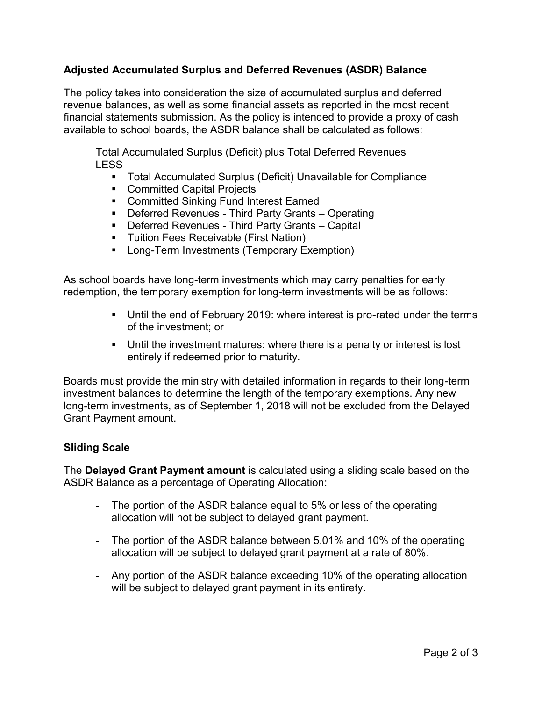### **Adjusted Accumulated Surplus and Deferred Revenues (ASDR) Balance**

The policy takes into consideration the size of accumulated surplus and deferred revenue balances, as well as some financial assets as reported in the most recent financial statements submission. As the policy is intended to provide a proxy of cash available to school boards, the ASDR balance shall be calculated as follows:

Total Accumulated Surplus (Deficit) plus Total Deferred Revenues LESS

- Total Accumulated Surplus (Deficit) Unavailable for Compliance
- Committed Capital Projects
- Committed Sinking Fund Interest Earned
- Deferred Revenues Third Party Grants Operating
- Deferred Revenues Third Party Grants Capital
- **E** Tuition Fees Receivable (First Nation)
- Long-Term Investments (Temporary Exemption)

As school boards have long-term investments which may carry penalties for early redemption, the temporary exemption for long-term investments will be as follows:

- Until the end of February 2019: where interest is pro-rated under the terms of the investment; or
- **•** Until the investment matures: where there is a penalty or interest is lost entirely if redeemed prior to maturity.

Boards must provide the ministry with detailed information in regards to their long-term investment balances to determine the length of the temporary exemptions. Any new long-term investments, as of September 1, 2018 will not be excluded from the Delayed Grant Payment amount.

### **Sliding Scale**

The **Delayed Grant Payment amount** is calculated using a sliding scale based on the ASDR Balance as a percentage of Operating Allocation:

- The portion of the ASDR balance equal to 5% or less of the operating allocation will not be subject to delayed grant payment.
- The portion of the ASDR balance between 5.01% and 10% of the operating allocation will be subject to delayed grant payment at a rate of 80%.
- Any portion of the ASDR balance exceeding 10% of the operating allocation will be subject to delayed grant payment in its entirety.